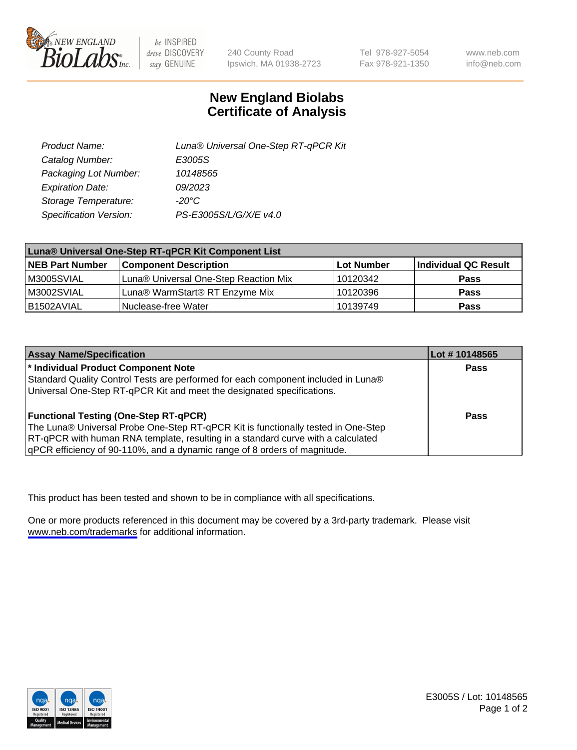

be INSPIRED drive DISCOVERY stay GENUINE

240 County Road Ipswich, MA 01938-2723 Tel 978-927-5054 Fax 978-921-1350

www.neb.com info@neb.com

## **New England Biolabs Certificate of Analysis**

| Product Name:           | Luna® Universal One-Step RT-qPCR Kit |  |
|-------------------------|--------------------------------------|--|
| Catalog Number:         | E3005S                               |  |
| Packaging Lot Number:   | 10148565                             |  |
| <b>Expiration Date:</b> | 09/2023                              |  |
| Storage Temperature:    | $-20^{\circ}$ C                      |  |
| Specification Version:  | PS-E3005S/L/G/X/E v4.0               |  |

| Luna® Universal One-Step RT-qPCR Kit Component List |                                       |            |                      |
|-----------------------------------------------------|---------------------------------------|------------|----------------------|
| <b>NEB Part Number</b>                              | <b>Component Description</b>          | Lot Number | Individual QC Result |
| M3005SVIAL                                          | Luna® Universal One-Step Reaction Mix | 10120342   | Pass                 |
| M3002SVIAL                                          | Luna® WarmStart® RT Enzyme Mix        | 10120396   | <b>Pass</b>          |
| B1502AVIAL                                          | Nuclease-free Water                   | 10139749   | <b>Pass</b>          |

| <b>Assay Name/Specification</b>                                                                                          | Lot #10148565 |
|--------------------------------------------------------------------------------------------------------------------------|---------------|
| * Individual Product Component Note<br>Standard Quality Control Tests are performed for each component included in Luna® | <b>Pass</b>   |
| Universal One-Step RT-qPCR Kit and meet the designated specifications.                                                   |               |
| <b>Functional Testing (One-Step RT-qPCR)</b>                                                                             | Pass          |
| The Luna® Universal Probe One-Step RT-qPCR Kit is functionally tested in One-Step                                        |               |
| RT-qPCR with human RNA template, resulting in a standard curve with a calculated                                         |               |
| gPCR efficiency of 90-110%, and a dynamic range of 8 orders of magnitude.                                                |               |

This product has been tested and shown to be in compliance with all specifications.

One or more products referenced in this document may be covered by a 3rd-party trademark. Please visit <www.neb.com/trademarks>for additional information.